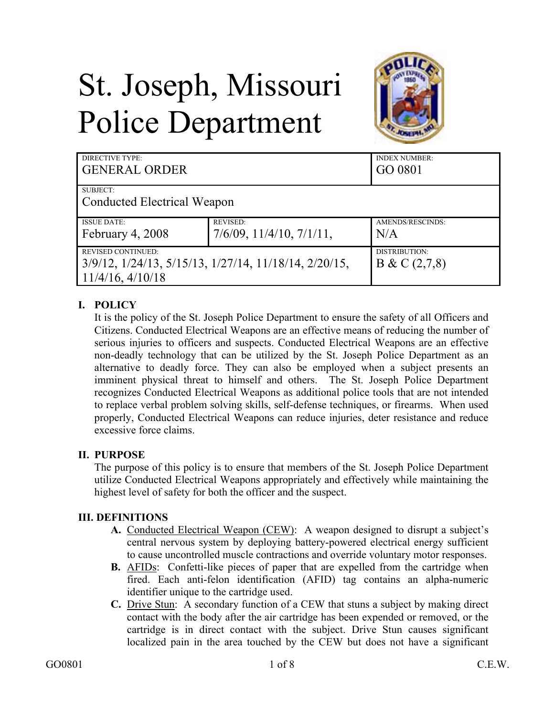# St. Joseph, Missouri Police Department



| DIRECTIVE TYPE:                                                                                             |                                   | <b>INDEX NUMBER:</b>          |
|-------------------------------------------------------------------------------------------------------------|-----------------------------------|-------------------------------|
| <b>GENERAL ORDER</b>                                                                                        |                                   | GO 0801                       |
| SUBJECT:<br><b>Conducted Electrical Weapon</b>                                                              |                                   |                               |
| <b>ISSUE DATE:</b>                                                                                          | <b>REVISED:</b>                   | AMENDS/RESCINDS:              |
| February 4, 2008                                                                                            | $7/6/09$ , $11/4/10$ , $7/1/11$ , | N/A                           |
| <b>REVISED CONTINUED:</b><br>3/9/12, 1/24/13, 5/15/13, 1/27/14, 11/18/14, 2/20/15,<br>$11/4/16$ , $4/10/18$ |                                   | DISTRIBUTION:<br>B & C(2,7,8) |

## **I. POLICY**

It is the policy of the St. Joseph Police Department to ensure the safety of all Officers and Citizens. Conducted Electrical Weapons are an effective means of reducing the number of serious injuries to officers and suspects. Conducted Electrical Weapons are an effective non-deadly technology that can be utilized by the St. Joseph Police Department as an alternative to deadly force. They can also be employed when a subject presents an imminent physical threat to himself and others. The St. Joseph Police Department recognizes Conducted Electrical Weapons as additional police tools that are not intended to replace verbal problem solving skills, self-defense techniques, or firearms. When used properly, Conducted Electrical Weapons can reduce injuries, deter resistance and reduce excessive force claims.

## **II. PURPOSE**

The purpose of this policy is to ensure that members of the St. Joseph Police Department utilize Conducted Electrical Weapons appropriately and effectively while maintaining the highest level of safety for both the officer and the suspect.

## **III. DEFINITIONS**

- **A.** Conducted Electrical Weapon (CEW): A weapon designed to disrupt a subject's central nervous system by deploying battery-powered electrical energy sufficient to cause uncontrolled muscle contractions and override voluntary motor responses.
- **B.** AFIDs: Confetti-like pieces of paper that are expelled from the cartridge when fired. Each anti-felon identification (AFID) tag contains an alpha-numeric identifier unique to the cartridge used.
- **C.** Drive Stun: A secondary function of a CEW that stuns a subject by making direct contact with the body after the air cartridge has been expended or removed, or the cartridge is in direct contact with the subject. Drive Stun causes significant localized pain in the area touched by the CEW but does not have a significant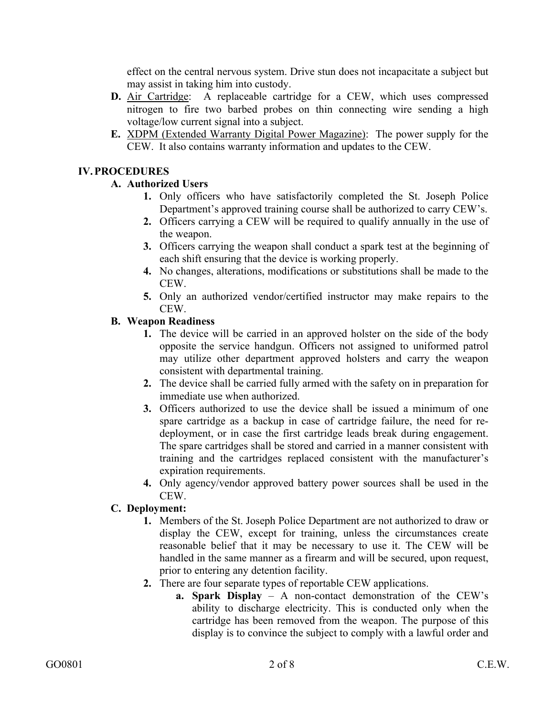effect on the central nervous system. Drive stun does not incapacitate a subject but may assist in taking him into custody.

- **D.** Air Cartridge: A replaceable cartridge for a CEW, which uses compressed nitrogen to fire two barbed probes on thin connecting wire sending a high voltage/low current signal into a subject.
- **E.** XDPM (Extended Warranty Digital Power Magazine): The power supply for the CEW. It also contains warranty information and updates to the CEW.

## **IV.PROCEDURES**

## **A. Authorized Users**

- **1.** Only officers who have satisfactorily completed the St. Joseph Police Department's approved training course shall be authorized to carry CEW's.
- **2.** Officers carrying a CEW will be required to qualify annually in the use of the weapon.
- **3.** Officers carrying the weapon shall conduct a spark test at the beginning of each shift ensuring that the device is working properly.
- **4.** No changes, alterations, modifications or substitutions shall be made to the CEW.
- **5.** Only an authorized vendor/certified instructor may make repairs to the CEW.

## **B. Weapon Readiness**

- **1.** The device will be carried in an approved holster on the side of the body opposite the service handgun. Officers not assigned to uniformed patrol may utilize other department approved holsters and carry the weapon consistent with departmental training.
- **2.** The device shall be carried fully armed with the safety on in preparation for immediate use when authorized.
- **3.** Officers authorized to use the device shall be issued a minimum of one spare cartridge as a backup in case of cartridge failure, the need for redeployment, or in case the first cartridge leads break during engagement. The spare cartridges shall be stored and carried in a manner consistent with training and the cartridges replaced consistent with the manufacturer's expiration requirements.
- **4.** Only agency/vendor approved battery power sources shall be used in the CEW.

## **C. Deployment:**

- **1.** Members of the St. Joseph Police Department are not authorized to draw or display the CEW, except for training, unless the circumstances create reasonable belief that it may be necessary to use it. The CEW will be handled in the same manner as a firearm and will be secured, upon request, prior to entering any detention facility.
- **2.** There are four separate types of reportable CEW applications.
	- **a. Spark Display** A non-contact demonstration of the CEW's ability to discharge electricity. This is conducted only when the cartridge has been removed from the weapon. The purpose of this display is to convince the subject to comply with a lawful order and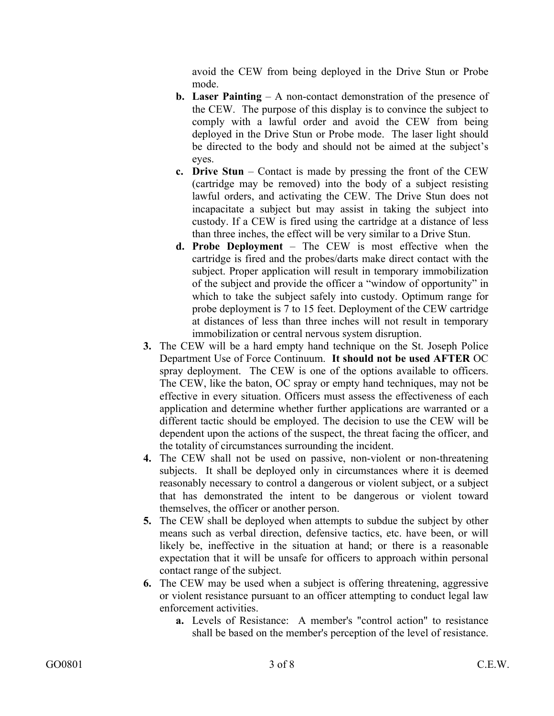avoid the CEW from being deployed in the Drive Stun or Probe mode.

- **b. Laser Painting** A non-contact demonstration of the presence of the CEW. The purpose of this display is to convince the subject to comply with a lawful order and avoid the CEW from being deployed in the Drive Stun or Probe mode. The laser light should be directed to the body and should not be aimed at the subject's eyes.
- **c. Drive Stun** Contact is made by pressing the front of the CEW (cartridge may be removed) into the body of a subject resisting lawful orders, and activating the CEW. The Drive Stun does not incapacitate a subject but may assist in taking the subject into custody. If a CEW is fired using the cartridge at a distance of less than three inches, the effect will be very similar to a Drive Stun.
- **d. Probe Deployment**  The CEW is most effective when the cartridge is fired and the probes/darts make direct contact with the subject. Proper application will result in temporary immobilization of the subject and provide the officer a "window of opportunity" in which to take the subject safely into custody. Optimum range for probe deployment is 7 to 15 feet. Deployment of the CEW cartridge at distances of less than three inches will not result in temporary immobilization or central nervous system disruption.
- **3.** The CEW will be a hard empty hand technique on the St. Joseph Police Department Use of Force Continuum. **It should not be used AFTER** OC spray deployment. The CEW is one of the options available to officers. The CEW, like the baton, OC spray or empty hand techniques, may not be effective in every situation. Officers must assess the effectiveness of each application and determine whether further applications are warranted or a different tactic should be employed. The decision to use the CEW will be dependent upon the actions of the suspect, the threat facing the officer, and the totality of circumstances surrounding the incident.
- **4.** The CEW shall not be used on passive, non-violent or non-threatening subjects. It shall be deployed only in circumstances where it is deemed reasonably necessary to control a dangerous or violent subject, or a subject that has demonstrated the intent to be dangerous or violent toward themselves, the officer or another person.
- **5.** The CEW shall be deployed when attempts to subdue the subject by other means such as verbal direction, defensive tactics, etc. have been, or will likely be, ineffective in the situation at hand; or there is a reasonable expectation that it will be unsafe for officers to approach within personal contact range of the subject.
- **6.** The CEW may be used when a subject is offering threatening, aggressive or violent resistance pursuant to an officer attempting to conduct legal law enforcement activities.
	- **a.** Levels of Resistance: A member's "control action" to resistance shall be based on the member's perception of the level of resistance.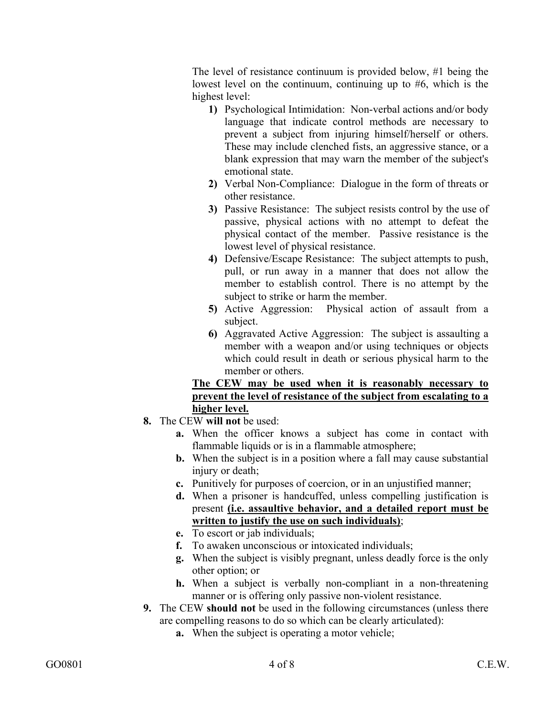The level of resistance continuum is provided below, #1 being the lowest level on the continuum, continuing up to #6, which is the highest level:

- **1)** Psychological Intimidation: Non-verbal actions and/or body language that indicate control methods are necessary to prevent a subject from injuring himself/herself or others. These may include clenched fists, an aggressive stance, or a blank expression that may warn the member of the subject's emotional state.
- **2)** Verbal Non-Compliance: Dialogue in the form of threats or other resistance.
- **3)** Passive Resistance: The subject resists control by the use of passive, physical actions with no attempt to defeat the physical contact of the member. Passive resistance is the lowest level of physical resistance.
- **4)** Defensive/Escape Resistance: The subject attempts to push, pull, or run away in a manner that does not allow the member to establish control. There is no attempt by the subject to strike or harm the member.
- **5)** Active Aggression: Physical action of assault from a subject.
- **6)** Aggravated Active Aggression: The subject is assaulting a member with a weapon and/or using techniques or objects which could result in death or serious physical harm to the member or others.

## **The CEW may be used when it is reasonably necessary to prevent the level of resistance of the subject from escalating to a higher level.**

- **8.** The CEW **will not** be used:
	- **a.** When the officer knows a subject has come in contact with flammable liquids or is in a flammable atmosphere;
	- **b.** When the subject is in a position where a fall may cause substantial injury or death;
	- **c.** Punitively for purposes of coercion, or in an unjustified manner;
	- **d.** When a prisoner is handcuffed, unless compelling justification is present **(i.e. assaultive behavior, and a detailed report must be written to justify the use on such individuals)**;
	- **e.** To escort or jab individuals;
	- **f.** To awaken unconscious or intoxicated individuals;
	- **g.** When the subject is visibly pregnant, unless deadly force is the only other option; or
	- **h.** When a subject is verbally non-compliant in a non-threatening manner or is offering only passive non-violent resistance.
- **9.** The CEW **should not** be used in the following circumstances (unless there are compelling reasons to do so which can be clearly articulated):
	- **a.** When the subject is operating a motor vehicle;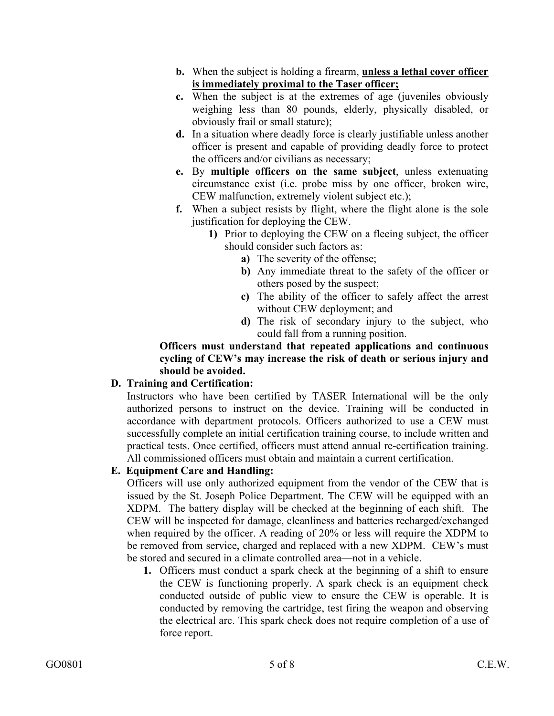- **b.** When the subject is holding a firearm, **unless a lethal cover officer is immediately proximal to the Taser officer;**
- **c.** When the subject is at the extremes of age (juveniles obviously weighing less than 80 pounds, elderly, physically disabled, or obviously frail or small stature);
- **d.** In a situation where deadly force is clearly justifiable unless another officer is present and capable of providing deadly force to protect the officers and/or civilians as necessary;
- **e.** By **multiple officers on the same subject**, unless extenuating circumstance exist (i.e. probe miss by one officer, broken wire, CEW malfunction, extremely violent subject etc.);
- **f.** When a subject resists by flight, where the flight alone is the sole justification for deploying the CEW.
	- **1)** Prior to deploying the CEW on a fleeing subject, the officer should consider such factors as:
		- **a)** The severity of the offense;
		- **b)** Any immediate threat to the safety of the officer or others posed by the suspect;
		- **c)** The ability of the officer to safely affect the arrest without CEW deployment; and
		- **d)** The risk of secondary injury to the subject, who could fall from a running position.

**Officers must understand that repeated applications and continuous cycling of CEW's may increase the risk of death or serious injury and should be avoided.** 

# **D. Training and Certification:**

Instructors who have been certified by TASER International will be the only authorized persons to instruct on the device. Training will be conducted in accordance with department protocols. Officers authorized to use a CEW must successfully complete an initial certification training course, to include written and practical tests. Once certified, officers must attend annual re-certification training. All commissioned officers must obtain and maintain a current certification.

# **E. Equipment Care and Handling:**

Officers will use only authorized equipment from the vendor of the CEW that is issued by the St. Joseph Police Department. The CEW will be equipped with an XDPM. The battery display will be checked at the beginning of each shift. The CEW will be inspected for damage, cleanliness and batteries recharged/exchanged when required by the officer. A reading of 20% or less will require the XDPM to be removed from service, charged and replaced with a new XDPM. CEW's must be stored and secured in a climate controlled area—not in a vehicle.

**1.** Officers must conduct a spark check at the beginning of a shift to ensure the CEW is functioning properly. A spark check is an equipment check conducted outside of public view to ensure the CEW is operable. It is conducted by removing the cartridge, test firing the weapon and observing the electrical arc. This spark check does not require completion of a use of force report.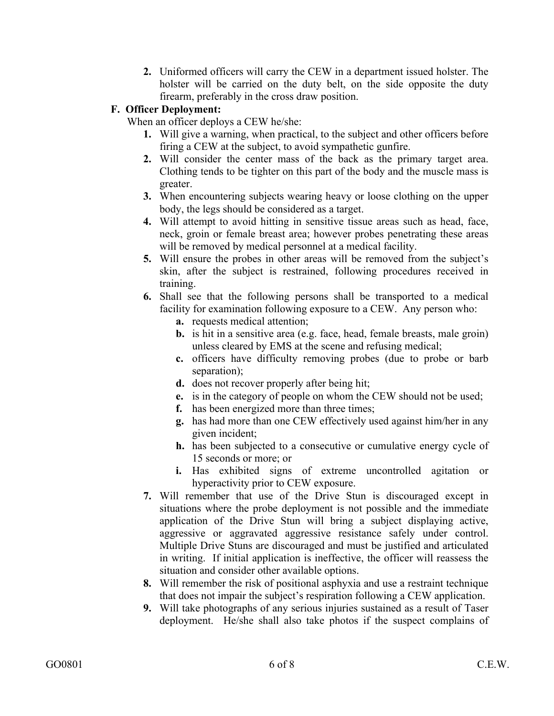**2.** Uniformed officers will carry the CEW in a department issued holster. The holster will be carried on the duty belt, on the side opposite the duty firearm, preferably in the cross draw position.

# **F. Officer Deployment:**

When an officer deploys a CEW he/she:

- **1.** Will give a warning, when practical, to the subject and other officers before firing a CEW at the subject, to avoid sympathetic gunfire.
- **2.** Will consider the center mass of the back as the primary target area. Clothing tends to be tighter on this part of the body and the muscle mass is greater.
- **3.** When encountering subjects wearing heavy or loose clothing on the upper body, the legs should be considered as a target.
- **4.** Will attempt to avoid hitting in sensitive tissue areas such as head, face, neck, groin or female breast area; however probes penetrating these areas will be removed by medical personnel at a medical facility.
- **5.** Will ensure the probes in other areas will be removed from the subject's skin, after the subject is restrained, following procedures received in training.
- **6.** Shall see that the following persons shall be transported to a medical facility for examination following exposure to a CEW. Any person who:
	- **a.** requests medical attention;
	- **b.** is hit in a sensitive area (e.g. face, head, female breasts, male groin) unless cleared by EMS at the scene and refusing medical;
	- **c.** officers have difficulty removing probes (due to probe or barb separation);
	- **d.** does not recover properly after being hit;
	- **e.** is in the category of people on whom the CEW should not be used;
	- **f.** has been energized more than three times;
	- **g.** has had more than one CEW effectively used against him/her in any given incident;
	- **h.** has been subjected to a consecutive or cumulative energy cycle of 15 seconds or more; or
	- **i.** Has exhibited signs of extreme uncontrolled agitation or hyperactivity prior to CEW exposure.
- **7.** Will remember that use of the Drive Stun is discouraged except in situations where the probe deployment is not possible and the immediate application of the Drive Stun will bring a subject displaying active, aggressive or aggravated aggressive resistance safely under control. Multiple Drive Stuns are discouraged and must be justified and articulated in writing. If initial application is ineffective, the officer will reassess the situation and consider other available options.
- **8.** Will remember the risk of positional asphyxia and use a restraint technique that does not impair the subject's respiration following a CEW application.
- **9.** Will take photographs of any serious injuries sustained as a result of Taser deployment. He/she shall also take photos if the suspect complains of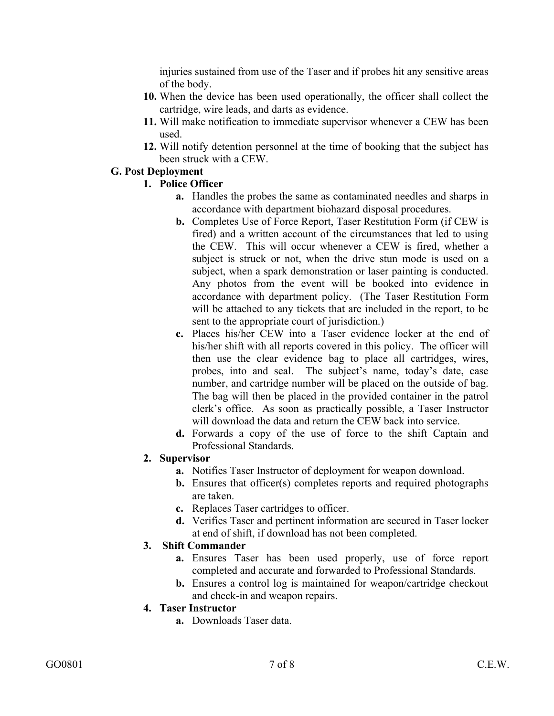injuries sustained from use of the Taser and if probes hit any sensitive areas of the body.

- **10.** When the device has been used operationally, the officer shall collect the cartridge, wire leads, and darts as evidence.
- **11.** Will make notification to immediate supervisor whenever a CEW has been used.
- **12.** Will notify detention personnel at the time of booking that the subject has been struck with a CEW.

## **G. Post Deployment**

## **1. Police Officer**

- **a.** Handles the probes the same as contaminated needles and sharps in accordance with department biohazard disposal procedures.
- **b.** Completes Use of Force Report, Taser Restitution Form (if CEW is fired) and a written account of the circumstances that led to using the CEW. This will occur whenever a CEW is fired, whether a subject is struck or not, when the drive stun mode is used on a subject, when a spark demonstration or laser painting is conducted. Any photos from the event will be booked into evidence in accordance with department policy. (The Taser Restitution Form will be attached to any tickets that are included in the report, to be sent to the appropriate court of jurisdiction.)
- **c.** Places his/her CEW into a Taser evidence locker at the end of his/her shift with all reports covered in this policy. The officer will then use the clear evidence bag to place all cartridges, wires, probes, into and seal. The subject's name, today's date, case number, and cartridge number will be placed on the outside of bag. The bag will then be placed in the provided container in the patrol clerk's office. As soon as practically possible, a Taser Instructor will download the data and return the CEW back into service.
- **d.** Forwards a copy of the use of force to the shift Captain and Professional Standards.

## **2. Supervisor**

- **a.** Notifies Taser Instructor of deployment for weapon download.
- **b.** Ensures that officer(s) completes reports and required photographs are taken.
- **c.** Replaces Taser cartridges to officer.
- **d.** Verifies Taser and pertinent information are secured in Taser locker at end of shift, if download has not been completed.

## **3. Shift Commander**

- **a.** Ensures Taser has been used properly, use of force report completed and accurate and forwarded to Professional Standards.
- **b.** Ensures a control log is maintained for weapon/cartridge checkout and check-in and weapon repairs.

# **4. Taser Instructor**

**a.** Downloads Taser data.